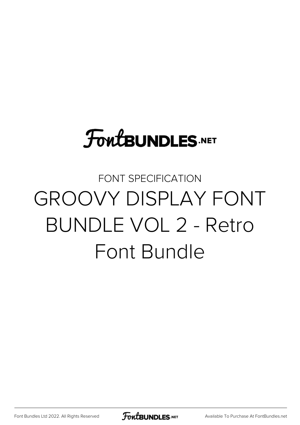# **FoutBUNDLES.NET**

## FONT SPECIFICATION GROOVY DISPLAY FONT BUNDLE VOL 2 - Retro Font Bundle

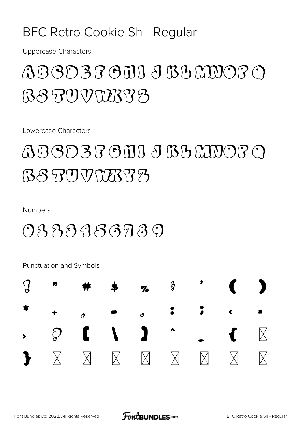#### **BFC Retro Cookie Sh - Regular**

**Uppercase Characters** 

#### ABCDEFCHI JEHMOFO BS TUVTKTZ

Lowercase Characters

#### ABCDEFCHI JEBLADOFO BS TUVTKTZ

**Numbers** 

#### 0888086939

Punctuation and Symbols

|  |  |  | $\begin{array}{ccccccccccccccccc}\n\mathbf{1} & \mathbf{2} & \mathbf{3} & \mathbf{4} & \mathbf{4} & \mathbf{5} & \mathbf{5} & \mathbf{6} & \mathbf{7} & \mathbf{8} & \mathbf{8} & \mathbf{9} & \mathbf{1} & \mathbf{1} & \mathbf{1} & \mathbf{1} & \mathbf{1} & \mathbf{1} & \mathbf{1} & \mathbf{1} & \mathbf{1} & \mathbf{1} & \mathbf{1} & \mathbf{1} & \mathbf{1} & \mathbf{1} & \mathbf{1} & \mathbf{1} & \mathbf{1} & \mathbf{1$ |  |
|--|--|--|----------------------------------------------------------------------------------------------------------------------------------------------------------------------------------------------------------------------------------------------------------------------------------------------------------------------------------------------------------------------------------------------------------------------------------------|--|
|  |  |  |                                                                                                                                                                                                                                                                                                                                                                                                                                        |  |
|  |  |  |                                                                                                                                                                                                                                                                                                                                                                                                                                        |  |
|  |  |  |                                                                                                                                                                                                                                                                                                                                                                                                                                        |  |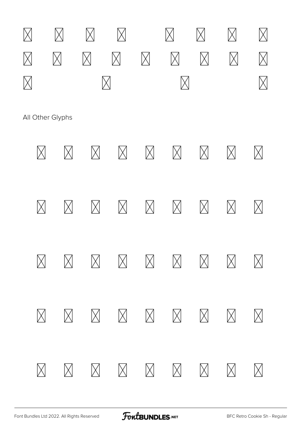

All Other Glyphs



FontBUNDLES.NET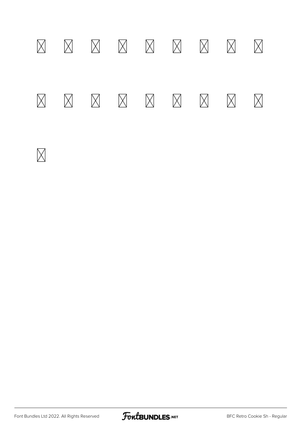# í î ï ð ñ ò ó ô õ  $O$   $\div$   $O$   $O$   $O$   $O$   $O$   $3$   $p$

 $\gamma$ 

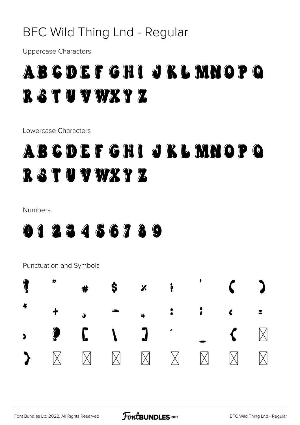#### **BFC Wild Thing Lnd - Regular**

**Uppercase Characters** 

#### ABGDEFGHI JKLMNOPO R S T U V WX Y Z

Lowercase Characters

#### ABGDEFGHI JKLMNOPO R S T U V WX Y Z

#### **Numbers**



Punctuation and Symbols

|  |  |  | ) D C 1 J . ( 1<br>) j & £ ¤ \ i § . |  |
|--|--|--|--------------------------------------|--|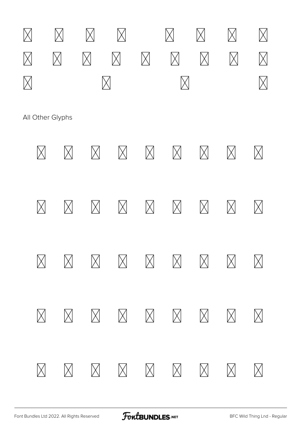

All Other Glyphs

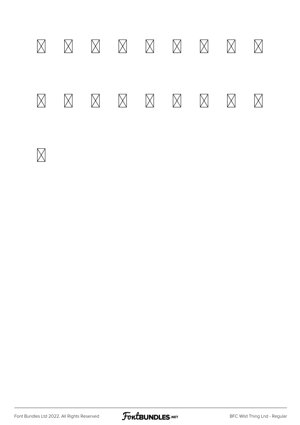

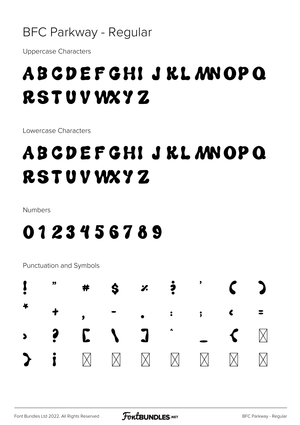#### **BFC Parkway - Regular**

**Uppercase Characters** 

### ABCDEFGHI JKLMNOPQ RSTUVWXYZ

Lowercase Characters

### ABCDEFGHI JKLMNOPQ RSTUVWXYZ

**Numbers** 

#### 0123456789

Punctuation and Symbols

|  |  |  | $\vdots$ " # \$ % ? $\vdots$ \ $\bigcirc$ |  |
|--|--|--|-------------------------------------------|--|
|  |  |  |                                           |  |
|  |  |  | 3 ? C \ 3 ^ - { 1<br>3 i ¢ £ ¤ \ i § ^    |  |
|  |  |  |                                           |  |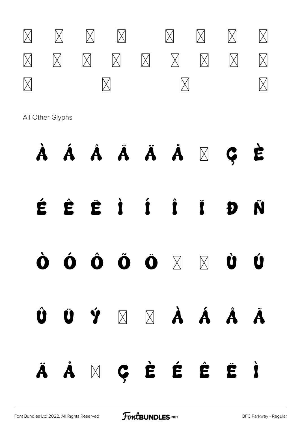

All Other Glyphs